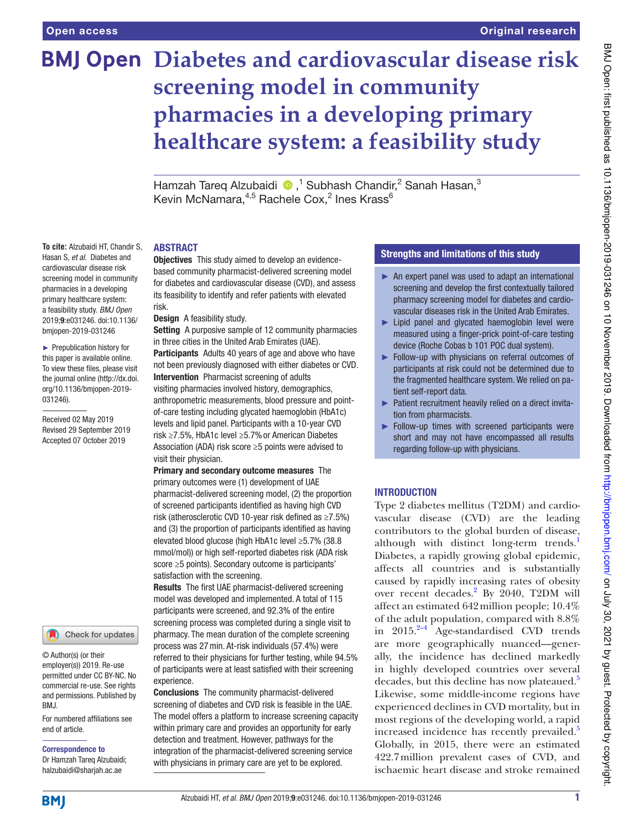**To cite:** Alzubaidi HT, Chandir S, Hasan S, et al. Diabetes and cardiovascular disease risk screening model in community pharmacies in a developing primary healthcare system: a feasibility study. BMJ Open 2019;9:e031246. doi:10.1136/ bmjopen-2019-031246 ► Prepublication history for this paper is available online. To view these files, please visit the journal online (http://dx.doi. org/10.1136/bmjopen-2019-

031246).

Received 02 May 2019 Revised 29 September 2019 Accepted 07 October 2019

# **BMJ Open Diabetes and cardiovascular disease risk screening model in community pharmacies in a developing primary healthcare system: a feasibility study**

Hamzah Tareq Alzubaidi (D,<sup>1</sup> Subhash Chandir,<sup>2</sup> Sanah Hasan,<sup>3</sup> Kevin McNamara, $4.5$  Rachele Cox, $^2$  Ines Krass $^6$ 

#### **ABSTRACT**

Objectives This study aimed to develop an evidencebased community pharmacist- delivered screening model for diabetes and cardiovascular disease (CVD), and assess its feasibility to identify and refer patients with elevated risk.

Design A feasibility study.

Setting A purposive sample of 12 community pharmacies in three cities in the United Arab Emirates (UAE).

Participants Adults 40 years of age and above who have not been previously diagnosed with either diabetes or CVD. Intervention Pharmacist screening of adults visiting pharmacies involved history, demographics,

anthropometric measurements, blood pressure and pointof- care testing including glycated haemoglobin (HbA1c) levels and lipid panel. Participants with a 10- year CVD risk ≥7.5%, HbA1c level ≥5.7% or American Diabetes Association (ADA) risk score ≥5 points were advised to visit their physician.

Primary and secondary outcome measures The primary outcomes were (1) development of UAE pharmacist- delivered screening model, (2) the proportion of screened participants identified as having high CVD risk (atherosclerotic CVD 10- year risk defined as ≥7.5%) and (3) the proportion of participants identified as having elevated blood glucose (high HbA1c level ≥5.7% (38.8 mmol/mol)) or high self- reported diabetes risk (ADA risk score ≥5 points). Secondary outcome is participants' satisfaction with the screening.

Results The first UAE pharmacist-delivered screening model was developed and implemented. A total of 115 participants were screened, and 92.3% of the entire screening process was completed during a single visit to pharmacy. The mean duration of the complete screening process was 27 min. At-risk individuals (57.4%) were referred to their physicians for further testing, while 94.5% of participants were at least satisfied with their screening experience.

Conclusions The community pharmacist- delivered screening of diabetes and CVD risk is feasible in the UAE. The model offers a platform to increase screening capacity within primary care and provides an opportunity for early detection and treatment. However, pathways for the integration of the pharmacist- delivered screening service with physicians in primary care are yet to be explored.

# strengths and limitations of this study

- ► An expert panel was used to adapt an international screening and develop the first contextually tailored pharmacy screening model for diabetes and cardiovascular diseases risk in the United Arab Emirates.
- ► Lipid panel and glycated haemoglobin level were measured using a finger-prick point-of-care testing device (Roche Cobas b 101 POC dual system).
- ► Follow-up with physicians on referral outcomes of participants at risk could not be determined due to the fragmented healthcare system. We relied on patient self-report data.
- ► Patient recruitment heavily relied on a direct invitation from pharmacists.
- ► Follow-up times with screened participants were short and may not have encompassed all results regarding follow-up with physicians.

#### **INTRODUCTION**

Type 2 diabetes mellitus (T2DM) and cardiovascular disease (CVD) are the leading contributors to the global burden of disease, although with distinct long-term trends.<sup>1</sup> Diabetes, a rapidly growing global epidemic, affects all countries and is substantially caused by rapidly increasing rates of obesity over recent decades.<sup>2</sup> By 2040, T2DM will affect an estimated 642 million people; 10.4% of the adult population, compared with 8.8% in  $2015.^{2-4}$  Age-standardised CVD trends are more geographically nuanced—generally, the incidence has declined markedly in highly developed countries over several decades, but this decline has now plateaued.<sup>5</sup> Likewise, some middle-income regions have experienced declines in CVD mortality, but in most regions of the developing world, a rapid increased incidence has recently prevailed.<sup>5</sup> Globally, in 2015, there were an estimated 422.7 million prevalent cases of CVD, and ischaemic heart disease and stroke remained

For numbered affiliations see BMJ.

© Author(s) (or their employer(s)) 2019. Re-use permitted under CC BY-NC. No commercial re-use. See rights and permissions. Published by

Check for updates

end of article.

Correspondence to

Dr Hamzah Tareq Alzubaidi; halzubaidi@ sharjah. ac. ae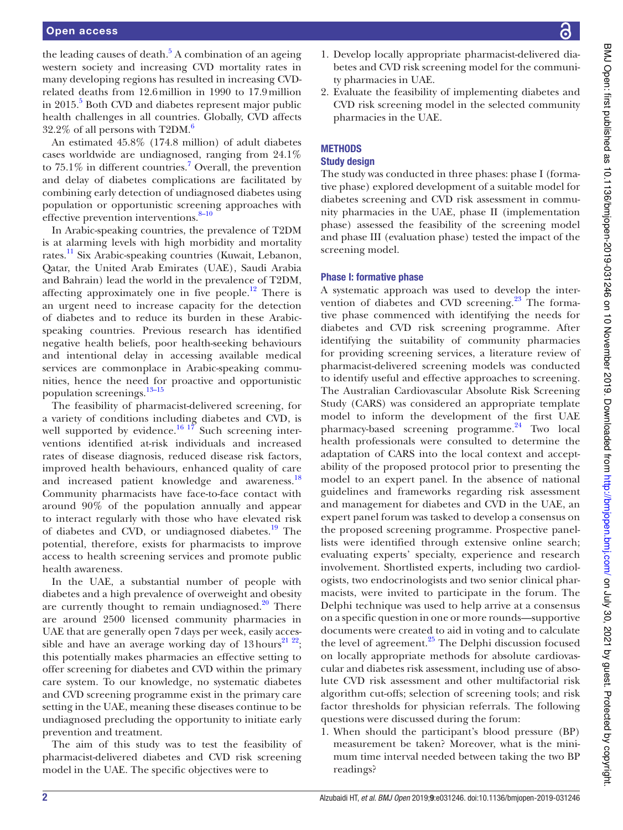the leading causes of death.<sup>5</sup> A combination of an ageing western society and increasing CVD mortality rates in many developing regions has resulted in increasing CVDrelated deaths from 12.6 million in 1990 to 17.9 million in 2015.<sup>5</sup> Both CVD and diabetes represent major public health challenges in all countries. Globally, CVD affects  $32.2\%$  of all persons with T2DM.<sup>6</sup>

An estimated 45.8% (174.8 million) of adult diabetes cases worldwide are undiagnosed, ranging from 24.1% to  $75.1\%$  in different countries.<sup>7</sup> Overall, the prevention and delay of diabetes complications are facilitated by combining early detection of undiagnosed diabetes using population or opportunistic screening approaches with effective prevention interventions.<sup>8-10</sup>

In Arabic- speaking countries, the prevalence of T2DM is at alarming levels with high morbidity and mortality rates.<sup>11</sup> Six Arabic-speaking countries (Kuwait, Lebanon, Qatar, the United Arab Emirates (UAE), Saudi Arabia and Bahrain) lead the world in the prevalence of T2DM, affecting approximately one in five people.<sup>12</sup> There is an urgent need to increase capacity for the detection of diabetes and to reduce its burden in these Arabicspeaking countries. Previous research has identified negative health beliefs, poor health-seeking behaviours and intentional delay in accessing available medical services are commonplace in Arabic-speaking communities, hence the need for proactive and opportunistic population screenings.<sup>13-15</sup>

The feasibility of pharmacist-delivered screening, for a variety of conditions including diabetes and CVD, is well supported by evidence.<sup>16 17</sup> Such screening interventions identified at-risk individuals and increased rates of disease diagnosis, reduced disease risk factors, improved health behaviours, enhanced quality of care and increased patient knowledge and awareness.<sup>18</sup> Community pharmacists have face-to-face contact with around 90% of the population annually and appear to interact regularly with those who have elevated risk of diabetes and CVD, or undiagnosed diabetes.<sup>19</sup> The potential, therefore, exists for pharmacists to improve access to health screening services and promote public health awareness.

In the UAE, a substantial number of people with diabetes and a high prevalence of overweight and obesity are currently thought to remain undiagnosed.<sup>20</sup> There are around 2500 licensed community pharmacies in UAE that are generally open 7 days per week, easily accessible and have an average working day of  $13 \text{ hours}^{21\ 22}$ ; this potentially makes pharmacies an effective setting to offer screening for diabetes and CVD within the primary care system. To our knowledge, no systematic diabetes and CVD screening programme exist in the primary care setting in the UAE, meaning these diseases continue to be undiagnosed precluding the opportunity to initiate early prevention and treatment.

The aim of this study was to test the feasibility of pharmacist- delivered diabetes and CVD risk screening model in the UAE. The specific objectives were to

- BMJ Open: first published as 10.1136/bmjopen-2019-031246 on 10 November 2019. Downloaded from http://bmjopen.bm/ on July 30, 2021 by guest. Protected by copyright BMJ Open: first published as 10.1136/bmjopen-2019-031246 on 10 November 2019. Downloaded from http://bmjopen.bmj.com/ BMJ SMJ SMJ Open: Protected by copyright.
- 1. Develop locally appropriate pharmacist-delivered diabetes and CVD risk screening model for the community pharmacies in UAE.
- 2. Evaluate the feasibility of implementing diabetes and CVD risk screening model in the selected community pharmacies in the UAE.

# **METHODS**

# study design

The study was conducted in three phases: phase I (formative phase) explored development of a suitable model for diabetes screening and CVD risk assessment in community pharmacies in the UAE, phase II (implementation phase) assessed the feasibility of the screening model and phase III (evaluation phase) tested the impact of the screening model.

# Phase I: formative phase

A systematic approach was used to develop the intervention of diabetes and CVD screening. $^{23}$  The formative phase commenced with identifying the needs for diabetes and CVD risk screening programme. After identifying the suitability of community pharmacies for providing screening services, a literature review of pharmacist- delivered screening models was conducted to identify useful and effective approaches to screening. The Australian Cardiovascular Absolute Risk Screening Study (CARS) was considered an appropriate template model to inform the development of the first UAE pharmacy-based screening programme.<sup>24</sup> Two local health professionals were consulted to determine the adaptation of CARS into the local context and acceptability of the proposed protocol prior to presenting the model to an expert panel. In the absence of national guidelines and frameworks regarding risk assessment and management for diabetes and CVD in the UAE, an expert panel forum was tasked to develop a consensus on the proposed screening programme. Prospective panellists were identified through extensive online search; evaluating experts' specialty, experience and research involvement. Shortlisted experts, including two cardiologists, two endocrinologists and two senior clinical pharmacists, were invited to participate in the forum. The Delphi technique was used to help arrive at a consensus on a specific question in one or more rounds—supportive documents were created to aid in voting and to calculate the level of agreement.<sup>25</sup> The Delphi discussion focused on locally appropriate methods for absolute cardiovascular and diabetes risk assessment, including use of absolute CVD risk assessment and other multifactorial risk algorithm cut-offs; selection of screening tools; and risk factor thresholds for physician referrals. The following questions were discussed during the forum:

1. When should the participant's blood pressure (BP) measurement be taken? Moreover, what is the minimum time interval needed between taking the two BP readings?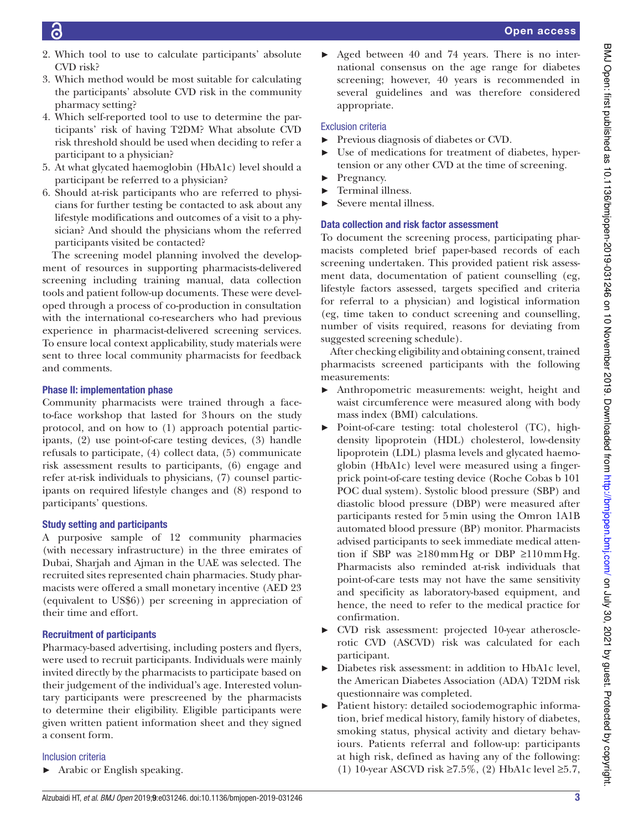- 2. Which tool to use to calculate participants' absolute CVD risk?
- 3. Which method would be most suitable for calculating the participants' absolute CVD risk in the community pharmacy setting?
- 4. Which self-reported tool to use to determine the participants' risk of having T2DM? What absolute CVD risk threshold should be used when deciding to refer a participant to a physician?
- 5. At what glycated haemoglobin (HbA1c) level should a participant be referred to a physician?
- 6. Should at-risk participants who are referred to physicians for further testing be contacted to ask about any lifestyle modifications and outcomes of a visit to a physician? And should the physicians whom the referred participants visited be contacted?

The screening model planning involved the development of resources in supporting pharmacists-delivered screening including training manual, data collection tools and patient follow-up documents. These were developed through a process of co- production in consultation with the international co-researchers who had previous experience in pharmacist-delivered screening services. To ensure local context applicability, study materials were sent to three local community pharmacists for feedback and comments.

# Phase II: implementation phase

Community pharmacists were trained through a faceto-face workshop that lasted for 3 hours on the study protocol, and on how to (1) approach potential participants,  $(2)$  use point-of-care testing devices,  $(3)$  handle refusals to participate, (4) collect data, (5) communicate risk assessment results to participants, (6) engage and refer at-risk individuals to physicians,  $(7)$  counsel participants on required lifestyle changes and (8) respond to participants' questions.

# study setting and participants

A purposive sample of 12 community pharmacies (with necessary infrastructure) in the three emirates of Dubai, Sharjah and Ajman in the UAE was selected. The recruited sites represented chain pharmacies. Study pharmacists were offered a small monetary incentive (AED 23 (equivalent to US\$6)) per screening in appreciation of their time and effort.

# **Recruitment of participants**

Pharmacy-based advertising, including posters and flyers, were used to recruit participants. Individuals were mainly invited directly by the pharmacists to participate based on their judgement of the individual's age. Interested voluntary participants were prescreened by the pharmacists to determine their eligibility. Eligible participants were given written patient information sheet and they signed a consent form.

# Inclusion criteria

► Arabic or English speaking.

Aged between 40 and 74 years. There is no international consensus on the age range for diabetes screening; however, 40 years is recommended in several guidelines and was therefore considered appropriate.

# Exclusion criteria

- ► Previous diagnosis of diabetes or CVD.
- Use of medications for treatment of diabetes, hypertension or any other CVD at the time of screening.
- Pregnancy.
- ► Terminal illness.
- ► Severe mental illness.

# Data collection and risk factor assessment

To document the screening process, participating pharmacists completed brief paper-based records of each screening undertaken. This provided patient risk assessment data, documentation of patient counselling (eg, lifestyle factors assessed, targets specified and criteria for referral to a physician) and logistical information (eg, time taken to conduct screening and counselling, number of visits required, reasons for deviating from suggested screening schedule).

After checking eligibility and obtaining consent, trained pharmacists screened participants with the following measurements:

- ► Anthropometric measurements: weight, height and waist circumference were measured along with body mass index (BMI) calculations.
- ▶ Point-of-care testing: total cholesterol (TC), highdensity lipoprotein (HDL) cholesterol, low-density lipoprotein (LDL) plasma levels and glycated haemoglobin (HbA1c) level were measured using a fingerprick point-of-care testing device (Roche Cobas b 101) POC dual system). Systolic blood pressure (SBP) and diastolic blood pressure (DBP) were measured after participants rested for 5 min using the Omron 1A1B automated blood pressure (BP) monitor. Pharmacists advised participants to seek immediate medical attention if SBP was  $\geq 180$  mm Hg or DBP  $\geq 110$  mm Hg. Pharmacists also reminded at-risk individuals that point-of-care tests may not have the same sensitivity and specificity as laboratory-based equipment, and hence, the need to refer to the medical practice for confirmation.
- CVD risk assessment: projected 10-year atherosclerotic CVD (ASCVD) risk was calculated for each participant.
- Diabetes risk assessment: in addition to HbA1c level, the American Diabetes Association (ADA) T2DM risk questionnaire was completed.
- ► Patient history: detailed sociodemographic information, brief medical history, family history of diabetes, smoking status, physical activity and dietary behaviours. Patients referral and follow-up: participants at high risk, defined as having any of the following: (1) 10-year ASCVD risk ≥7.5%, (2) HbA1c level ≥5.7,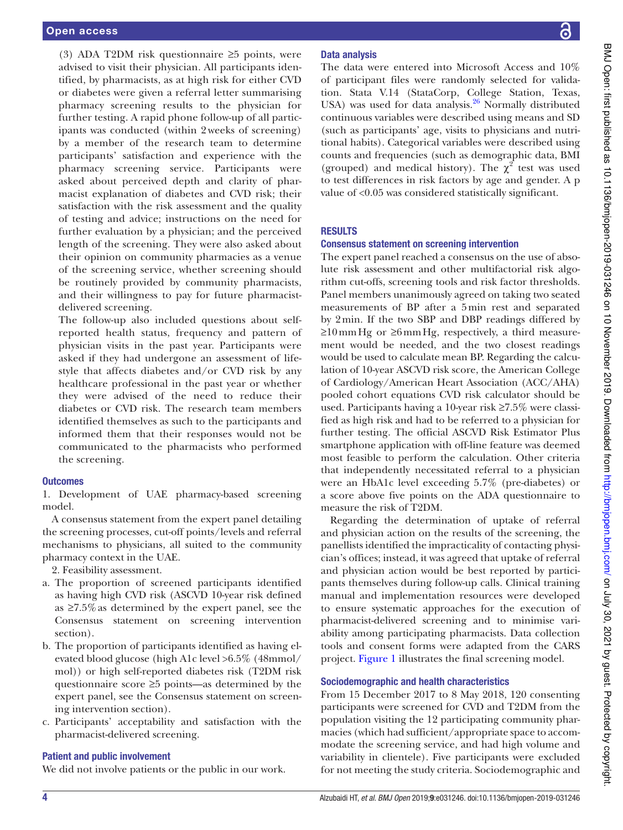(3) ADA T2DM risk questionnaire ≥5 points, were advised to visit their physician. All participants identified, by pharmacists, as at high risk for either CVD or diabetes were given a referral letter summarising pharmacy screening results to the physician for further testing. A rapid phone follow-up of all participants was conducted (within 2 weeks of screening) by a member of the research team to determine participants' satisfaction and experience with the pharmacy screening service. Participants were asked about perceived depth and clarity of pharmacist explanation of diabetes and CVD risk; their satisfaction with the risk assessment and the quality of testing and advice; instructions on the need for further evaluation by a physician; and the perceived length of the screening. They were also asked about their opinion on community pharmacies as a venue of the screening service, whether screening should be routinely provided by community pharmacists, and their willingness to pay for future pharmacistdelivered screening.

The follow-up also included questions about selfreported health status, frequency and pattern of physician visits in the past year. Participants were asked if they had undergone an assessment of lifestyle that affects diabetes and/or CVD risk by any healthcare professional in the past year or whether they were advised of the need to reduce their diabetes or CVD risk. The research team members identified themselves as such to the participants and informed them that their responses would not be communicated to the pharmacists who performed the screening.

#### **Outcomes**

1. Development of UAE pharmacy-based screening model.

A consensus statement from the expert panel detailing the screening processes, cut-off points/levels and referral mechanisms to physicians, all suited to the community pharmacy context in the UAE.

2. Feasibility assessment.

- a. The proportion of screened participants identified as having high CVD risk (ASCVD 10-year risk defined as ≥7.5% as determined by the expert panel, see the Consensus statement on screening intervention section).
- b. The proportion of participants identified as having elevated blood glucose (high A1c level >6.5% (48mmol/ mol)) or high self-reported diabetes risk (T2DM risk questionnaire score ≥5 points—as determined by the expert panel, see the Consensus statement on screening intervention section).
- c. Participants' acceptability and satisfaction with the pharmacist- delivered screening.

#### Patient and public involvement

We did not involve patients or the public in our work.

# Data analysis

The data were entered into Microsoft Access and 10% of participant files were randomly selected for validation. Stata V.14 (StataCorp, College Station, Texas, USA) was used for data analysis. $26$  Normally distributed continuous variables were described using means and SD (such as participants' age, visits to physicians and nutritional habits). Categorical variables were described using counts and frequencies (such as demographic data, BMI (grouped) and medical history). The  $\chi^2$  test was used to test differences in risk factors by age and gender. A p value of <0.05 was considered statistically significant.

# **RESULTS**

#### Consensus statement on screening intervention

The expert panel reached a consensus on the use of absolute risk assessment and other multifactorial risk algorithm cut- offs, screening tools and risk factor thresholds. Panel members unanimously agreed on taking two seated measurements of BP after a 5 min rest and separated by 2 min. If the two SBP and DBP readings differed by  $\geq 10$  mm Hg or  $\geq 6$  mm Hg, respectively, a third measurement would be needed, and the two closest readings would be used to calculate mean BP. Regarding the calculation of 10-year ASCVD risk score, the American College of Cardiology/American Heart Association (ACC/AHA) pooled cohort equations CVD risk calculator should be used. Participants having a 10-year risk ≥7.5% were classified as high risk and had to be referred to a physician for further testing. The official ASCVD Risk Estimator Plus smartphone application with off-line feature was deemed most feasible to perform the calculation. Other criteria that independently necessitated referral to a physician were an HbA1c level exceeding 5.7% (pre-diabetes) or a score above five points on the ADA questionnaire to measure the risk of T2DM.

Regarding the determination of uptake of referral and physician action on the results of the screening, the panellists identified the impracticality of contacting physician's offices; instead, it was agreed that uptake of referral and physician action would be best reported by participants themselves during follow-up calls. Clinical training manual and implementation resources were developed to ensure systematic approaches for the execution of pharmacist- delivered screening and to minimise variability among participating pharmacists. Data collection tools and consent forms were adapted from the CARS project. Figure 1 illustrates the final screening model.

#### sociodemographic and health characteristics

From 15 December 2017 to 8 May 2018, 120 consenting participants were screened for CVD and T2DM from the population visiting the 12 participating community pharmacies (which had sufficient/appropriate space to accommodate the screening service, and had high volume and variability in clientele). Five participants were excluded for not meeting the study criteria. Sociodemographic and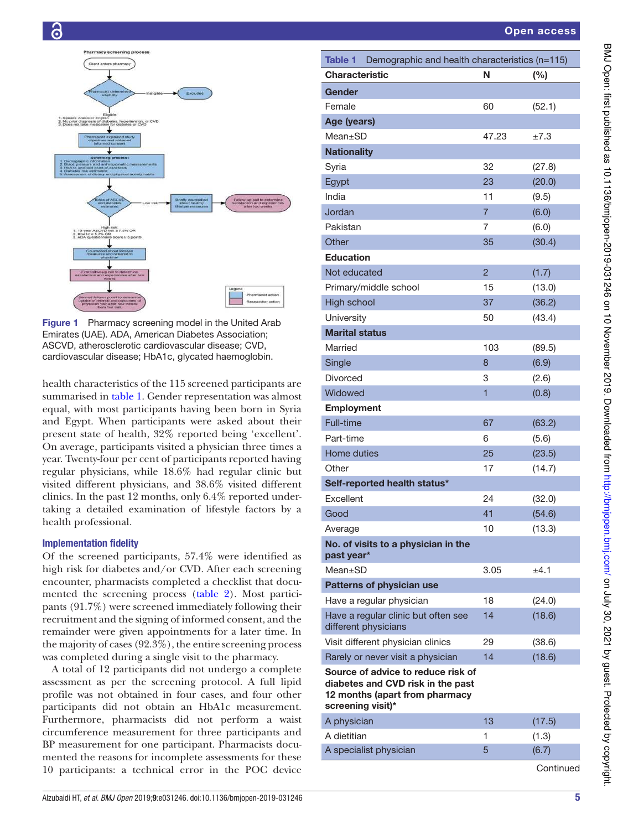



Figure 1 Pharmacy screening model in the United Arab Emirates (UAE). ADA, American Diabetes Association; ASCVD, atherosclerotic cardiovascular disease; CVD, cardiovascular disease; HbA1c, glycated haemoglobin.

health characteristics of the 115 screened participants are summarised in table 1. Gender representation was almost equal, with most participants having been born in Syria and Egypt. When participants were asked about their present state of health, 32% reported being 'excellent'. On average, participants visited a physician three times a year. Twenty-four per cent of participants reported having regular physicians, while 18.6% had regular clinic but visited different physicians, and 38.6% visited different clinics. In the past 12 months, only 6.4% reported undertaking a detailed examination of lifestyle factors by a health professional.

#### Implementation fidelity

Of the screened participants, 57.4% were identified as high risk for diabetes and/or CVD. After each screening encounter, pharmacists completed a checklist that documented the screening process (table 2). Most participants (91.7%) were screened immediately following their recruitment and the signing of informed consent, and the remainder were given appointments for a later time. In the majority of cases (92.3%), the entire screening process was completed during a single visit to the pharmacy.

A total of 12 participants did not undergo a complete assessment as per the screening protocol. A full lipid profile was not obtained in four cases, and four other participants did not obtain an HbA1c measurement. Furthermore, pharmacists did not perform a waist circumference measurement for three participants and BP measurement for one participant. Pharmacists documented the reasons for incomplete assessments for these 10 participants: a technical error in the POC device

| Table 1 Demographic and health characteristics (n=115)                                                                         |                |        |
|--------------------------------------------------------------------------------------------------------------------------------|----------------|--------|
| <b>Characteristic</b>                                                                                                          | N              | (%)    |
| Gender                                                                                                                         |                |        |
| Female                                                                                                                         | 60             | (52.1) |
| Age (years)                                                                                                                    |                |        |
| Mean±SD                                                                                                                        | 47.23          | ±7.3   |
| <b>Nationality</b>                                                                                                             |                |        |
| Syria                                                                                                                          | 32             | (27.8) |
| Egypt                                                                                                                          | 23             | (20.0) |
| India                                                                                                                          | 11             | (9.5)  |
| Jordan                                                                                                                         | $\overline{7}$ | (6.0)  |
| Pakistan                                                                                                                       | 7              | (6.0)  |
| Other                                                                                                                          | 35             | (30.4) |
| <b>Education</b>                                                                                                               |                |        |
| Not educated                                                                                                                   | $\overline{2}$ | (1.7)  |
| Primary/middle school                                                                                                          | 15             | (13.0) |
| <b>High school</b>                                                                                                             | 37             | (36.2) |
| University                                                                                                                     | 50             | (43.4) |
| <b>Marital status</b>                                                                                                          |                |        |
| Married                                                                                                                        | 103            | (89.5) |
| Single                                                                                                                         | 8              | (6.9)  |
| <b>Divorced</b>                                                                                                                | 3              | (2.6)  |
| Widowed                                                                                                                        | 1              | (0.8)  |
| <b>Employment</b>                                                                                                              |                |        |
| Full-time                                                                                                                      | 67             | (63.2) |
| Part-time                                                                                                                      | 6              | (5.6)  |
| <b>Home duties</b>                                                                                                             | 25             | (23.5) |
| Other                                                                                                                          | 17             | (14.7) |
| Self-reported health status*                                                                                                   |                |        |
| Excellent                                                                                                                      | 24             | (32.0) |
| Good                                                                                                                           | 41             | (54.6) |
| Average                                                                                                                        | 10             | (13.3) |
| No. of visits to a physician in the<br>past year*                                                                              |                |        |
| $Mean \pm SD$                                                                                                                  | 3.05           | ±4.1   |
| <b>Patterns of physician use</b>                                                                                               |                |        |
| Have a regular physician                                                                                                       | 18             | (24.0) |
| Have a regular clinic but often see<br>different physicians                                                                    | 14             | (18.6) |
| Visit different physician clinics                                                                                              | 29             | (38.6) |
| Rarely or never visit a physician                                                                                              | 14             | (18.6) |
| Source of advice to reduce risk of<br>diabetes and CVD risk in the past<br>12 months (apart from pharmacy<br>screening visit)* |                |        |
| A physician                                                                                                                    | 13             | (17.5) |
| A dietitian                                                                                                                    | 1              | (1.3)  |
| A specialist physician                                                                                                         | 5              | (6.7)  |
|                                                                                                                                |                |        |

**Continued**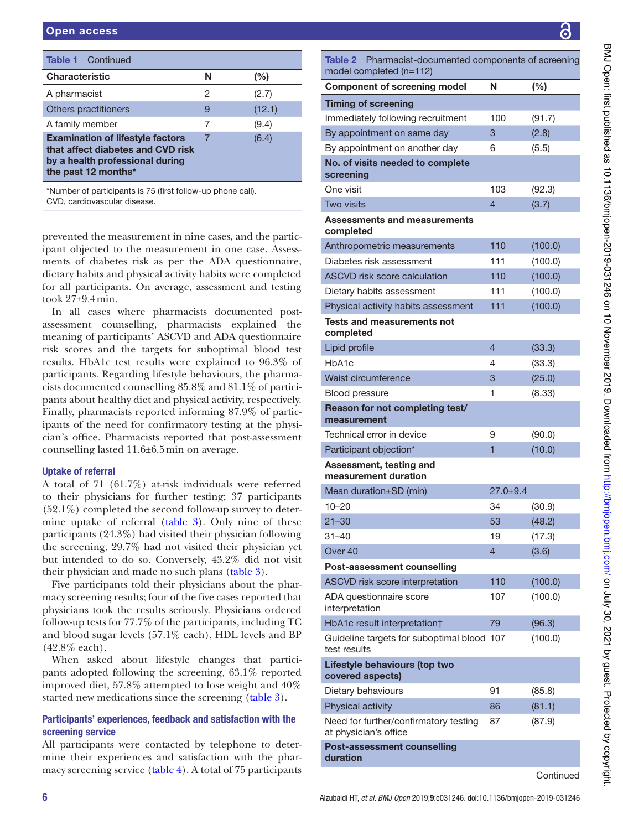| <b>Table 1</b> Continued                                                                                                               |   |        |
|----------------------------------------------------------------------------------------------------------------------------------------|---|--------|
| <b>Characteristic</b>                                                                                                                  | N | (%)    |
| A pharmacist                                                                                                                           | 2 | (2.7)  |
| Others practitioners                                                                                                                   | 9 | (12.1) |
| A family member                                                                                                                        | 7 | (9.4)  |
| <b>Examination of lifestyle factors</b><br>that affect diabetes and CVD risk<br>by a health professional during<br>the past 12 months* | 7 | (6.4)  |

\*Number of participants is 75 (first follow- up phone call). CVD, cardiovascular disease.

prevented the measurement in nine cases, and the participant objected to the measurement in one case. Assessments of diabetes risk as per the ADA questionnaire, dietary habits and physical activity habits were completed for all participants. On average, assessment and testing took 27±9.4 min.

In all cases where pharmacists documented postassessment counselling, pharmacists explained the meaning of participants' ASCVD and ADA questionnaire risk scores and the targets for suboptimal blood test results. HbA1c test results were explained to 96.3% of participants. Regarding lifestyle behaviours, the pharmacists documented counselling 85.8% and 81.1% of participants about healthy diet and physical activity, respectively. Finally, pharmacists reported informing 87.9% of participants of the need for confirmatory testing at the physician's office. Pharmacists reported that post-assessment counselling lasted 11.6±6.5 min on average.

# uptake of referral

A total of  $71$  (61.7%) at-risk individuals were referred to their physicians for further testing; 37 participants  $(52.1\%)$  completed the second follow-up survey to determine uptake of referral (table 3). Only nine of these participants (24.3%) had visited their physician following the screening, 29.7% had not visited their physician yet but intended to do so. Conversely, 43.2% did not visit their physician and made no such plans (table 3).

Five participants told their physicians about the pharmacy screening results; four of the five cases reported that physicians took the results seriously. Physicians ordered follow-up tests for  $77.7\%$  of the participants, including TC and blood sugar levels (57.1% each), HDL levels and BP (42.8% each).

When asked about lifestyle changes that participants adopted following the screening, 63.1% reported improved diet, 57.8% attempted to lose weight and 40% started new medications since the screening (table 3).

# Participants' experiences, feedback and satisfaction with the screening service

All participants were contacted by telephone to determine their experiences and satisfaction with the pharmacy screening service (table 4). A total of 75 participants Table 2 Pharmacist-documented components of screening

| model completed (n=112)                                        |                |           |
|----------------------------------------------------------------|----------------|-----------|
| <b>Component of screening model</b>                            | Ν              | (%)       |
| <b>Timing of screening</b>                                     |                |           |
| Immediately following recruitment                              | 100            | (91.7)    |
| By appointment on same day                                     | 3              | (2.8)     |
| By appointment on another day                                  | 6              | (5.5)     |
| No. of visits needed to complete<br>screening                  |                |           |
| One visit                                                      | 103            | (92.3)    |
| <b>Two visits</b>                                              | 4              | (3.7)     |
| <b>Assessments and measurements</b><br>completed               |                |           |
| Anthropometric measurements                                    | 110            | (100.0)   |
| Diabetes risk assessment                                       | 111            | (100.0)   |
| <b>ASCVD risk score calculation</b>                            | 110            | (100.0)   |
| Dietary habits assessment                                      | 111            | (100.0)   |
| Physical activity habits assessment                            | 111            | (100.0)   |
| <b>Tests and measurements not</b><br>completed                 |                |           |
| Lipid profile                                                  | $\overline{4}$ | (33.3)    |
| HbA <sub>1</sub> c                                             | 4              | (33.3)    |
| Waist circumference                                            | 3              | (25.0)    |
| <b>Blood pressure</b>                                          | 1              | (8.33)    |
| Reason for not completing test/<br>measurement                 |                |           |
| Technical error in device                                      | 9              | (90.0)    |
| Participant objection*                                         | 1              | (10.0)    |
| Assessment, testing and<br>measurement duration                |                |           |
| Mean duration±SD (min)                                         | $27.0 + 9.4$   |           |
| $10 - 20$                                                      | 34             | (30.9)    |
| $21 - 30$                                                      | 53             | (48.2)    |
| $31 - 40$                                                      | 19             | (17.3)    |
| Over <sub>40</sub>                                             | 4              | (3.6)     |
| <b>Post-assessment counselling</b>                             |                |           |
| ASCVD risk score interpretation                                | 110            | (100.0)   |
| ADA questionnaire score<br>interpretation                      | 107            | (100.0)   |
| HbA1c result interpretation†                                   | 79             | (96.3)    |
| Guideline targets for suboptimal blood 107<br>test results     |                | (100.0)   |
| Lifestyle behaviours (top two<br>covered aspects)              |                |           |
| Dietary behaviours                                             | 91             | (85.8)    |
| Physical activity                                              | 86             | (81.1)    |
| Need for further/confirmatory testing<br>at physician's office | 87             | (87.9)    |
| <b>Post-assessment counselling</b><br>duration                 |                |           |
|                                                                |                | Continued |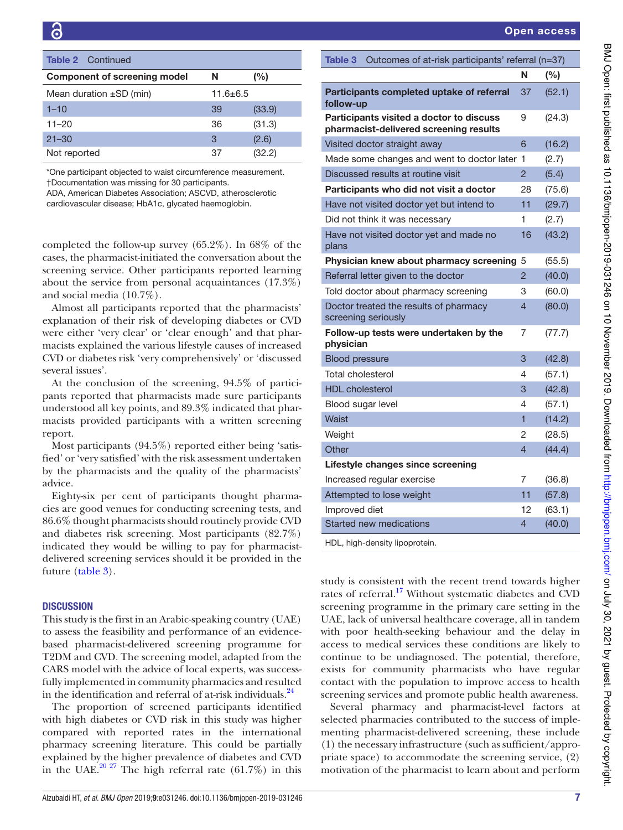| Table 2<br>Continued                |                |        | Outcomes of at-risk participants' referral (n=37)<br>Table 3                       |        |
|-------------------------------------|----------------|--------|------------------------------------------------------------------------------------|--------|
| <b>Component of screening model</b> | N              | (%)    |                                                                                    | (%)    |
| Mean duration $\pm SD$ (min)        | $11.6 \pm 6.5$ |        | Participants completed uptake of referral<br>37<br>follow-up                       | (52.1) |
| $1 - 10$                            | 39             | (33.9) |                                                                                    |        |
| $11 - 20$                           | 36             | (31.3) | Participants visited a doctor to discuss<br>pharmacist-delivered screening results | (24.3) |
| $21 - 30$                           | 3              | (2.6)  | Visited doctor straight away                                                       | (16.2  |
| Not reported                        | 37             | (32.2) |                                                                                    |        |
|                                     |                |        | Made some changes and went to doctor later 1                                       | (2.7)  |

\*One participant objected to waist circumference measurement. †Documentation was missing for 30 participants. ADA, American Diabetes Association; ASCVD, atherosclerotic

cardiovascular disease; HbA1c, glycated haemoglobin.

completed the follow-up survey  $(65.2\%)$ . In 68% of the cases, the pharmacist-initiated the conversation about the screening service. Other participants reported learning about the service from personal acquaintances (17.3%) and social media (10.7%).

Almost all participants reported that the pharmacists' explanation of their risk of developing diabetes or CVD were either 'very clear' or 'clear enough' and that pharmacists explained the various lifestyle causes of increased CVD or diabetes risk 'very comprehensively' or 'discussed several issues'.

At the conclusion of the screening, 94.5% of participants reported that pharmacists made sure participants understood all key points, and 89.3% indicated that pharmacists provided participants with a written screening report.

Most participants (94.5%) reported either being 'satisfied' or 'very satisfied' with the risk assessment undertaken by the pharmacists and the quality of the pharmacists' advice.

Eighty-six per cent of participants thought pharmacies are good venues for conducting screening tests, and 86.6% thought pharmacists should routinely provide CVD and diabetes risk screening. Most participants (82.7%) indicated they would be willing to pay for pharmacistdelivered screening services should it be provided in the future (table 3).

#### **DISCUSSION**

This study is the first in an Arabic-speaking country (UAE) to assess the feasibility and performance of an evidencebased pharmacist- delivered screening programme for T2DM and CVD. The screening model, adapted from the CARS model with the advice of local experts, was successfully implemented in community pharmacies and resulted in the identification and referral of at-risk individuals. $^{24}$ 

The proportion of screened participants identified with high diabetes or CVD risk in this study was higher compared with reported rates in the international pharmacy screening literature. This could be partially explained by the higher prevalence of diabetes and CVD in the UAE.<sup>20 27</sup> The high referral rate  $(61.7%)$  in this

| Table 3<br>Outcomes of at-risk participants' referral (n=37)                       |                |        |  |
|------------------------------------------------------------------------------------|----------------|--------|--|
|                                                                                    | N              | (%)    |  |
| Participants completed uptake of referral<br>follow-up                             | 37             | (52.1) |  |
| Participants visited a doctor to discuss<br>pharmacist-delivered screening results | 9              | (24.3) |  |
| Visited doctor straight away                                                       | 6              | (16.2) |  |
| Made some changes and went to doctor later                                         | 1              | (2.7)  |  |
| Discussed results at routine visit                                                 | $\overline{2}$ | (5.4)  |  |
| Participants who did not visit a doctor                                            | 28             | (75.6) |  |
| Have not visited doctor yet but intend to                                          | 11             | (29.7) |  |
| Did not think it was necessary                                                     | 1              | (2.7)  |  |
| Have not visited doctor yet and made no<br>plans                                   | 16             | (43.2) |  |
| Physician knew about pharmacy screening                                            | 5              | (55.5) |  |
| Referral letter given to the doctor                                                | $\overline{2}$ | (40.0) |  |
| Told doctor about pharmacy screening                                               | 3              | (60.0) |  |
| Doctor treated the results of pharmacy<br>screening seriously                      | $\overline{4}$ | (80.0) |  |
| Follow-up tests were undertaken by the<br>physician                                | 7              | (77.7) |  |
| <b>Blood pressure</b>                                                              | 3              | (42.8) |  |
| Total cholesterol                                                                  | 4              | (57.1) |  |
| <b>HDL</b> cholesterol                                                             | 3              | (42.8) |  |
| Blood sugar level                                                                  | 4              | (57.1) |  |
| Waist                                                                              | 1              | (14.2) |  |
| Weight                                                                             | 2              | (28.5) |  |
| Other                                                                              | $\overline{4}$ | (44.4) |  |
| Lifestyle changes since screening                                                  |                |        |  |
| Increased regular exercise                                                         | 7              | (36.8) |  |
| Attempted to lose weight                                                           | 11             | (57.8) |  |
| Improved diet                                                                      | 12             | (63.1) |  |
| Started new medications                                                            | 4              | (40.0) |  |

HDL, high-density lipoprotein.

study is consistent with the recent trend towards higher rates of referral.<sup>17</sup> Without systematic diabetes and CVD screening programme in the primary care setting in the UAE, lack of universal healthcare coverage, all in tandem with poor health-seeking behaviour and the delay in access to medical services these conditions are likely to continue to be undiagnosed. The potential, therefore, exists for community pharmacists who have regular contact with the population to improve access to health screening services and promote public health awareness.

Several pharmacy and pharmacist-level factors at selected pharmacies contributed to the success of implementing pharmacist-delivered screening, these include (1) the necessary infrastructure (such as sufficient/appropriate space) to accommodate the screening service, (2) motivation of the pharmacist to learn about and perform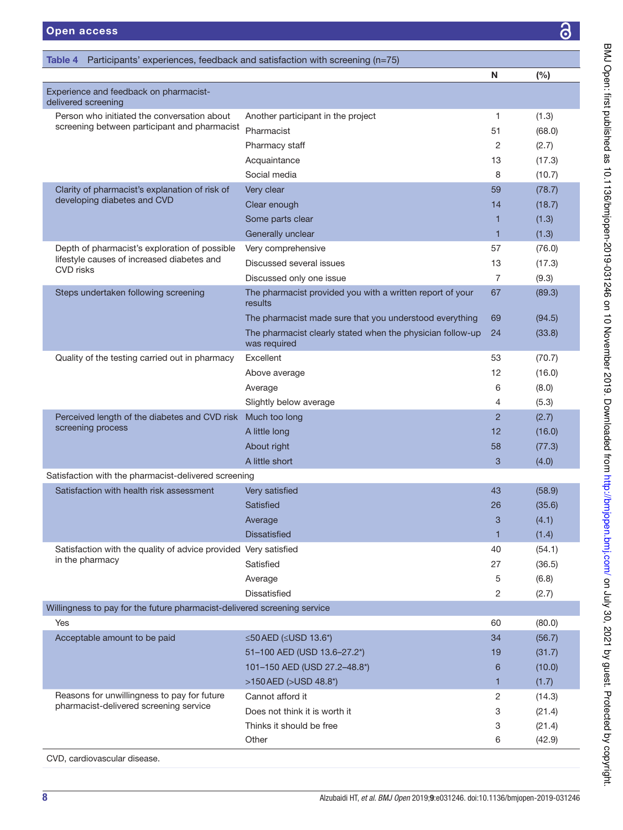| Table 4                                                                  | Participants' experiences, feedback and satisfaction with screening (n=75) |                |        |
|--------------------------------------------------------------------------|----------------------------------------------------------------------------|----------------|--------|
|                                                                          |                                                                            | N              | (%)    |
| Experience and feedback on pharmacist-<br>delivered screening            |                                                                            |                |        |
| Person who initiated the conversation about                              | Another participant in the project                                         | $\mathbf{1}$   | (1.3)  |
| screening between participant and pharmacist                             | Pharmacist                                                                 | 51             | (68.0) |
|                                                                          | Pharmacy staff                                                             | 2              | (2.7)  |
|                                                                          | Acquaintance                                                               | 13             | (17.3) |
|                                                                          | Social media                                                               | 8              | (10.7) |
| Clarity of pharmacist's explanation of risk of                           | Very clear                                                                 | 59             | (78.7) |
| developing diabetes and CVD                                              | Clear enough                                                               | 14             | (18.7) |
|                                                                          | Some parts clear                                                           | 1              | (1.3)  |
|                                                                          | Generally unclear                                                          | $\mathbf{1}$   | (1.3)  |
| Depth of pharmacist's exploration of possible                            | Very comprehensive                                                         | 57             | (76.0) |
| lifestyle causes of increased diabetes and<br><b>CVD</b> risks           | Discussed several issues                                                   | 13             | (17.3) |
|                                                                          | Discussed only one issue                                                   | $\overline{7}$ | (9.3)  |
| Steps undertaken following screening                                     | The pharmacist provided you with a written report of your<br>results       | 67             | (89.3) |
|                                                                          | The pharmacist made sure that you understood everything                    | 69             | (94.5) |
|                                                                          | The pharmacist clearly stated when the physician follow-up<br>was required | 24             | (33.8) |
| Quality of the testing carried out in pharmacy                           | Excellent                                                                  | 53             | (70.7) |
|                                                                          | Above average                                                              | 12             | (16.0) |
|                                                                          | Average                                                                    | 6              | (8.0)  |
|                                                                          | Slightly below average                                                     | 4              | (5.3)  |
| Perceived length of the diabetes and CVD risk                            | Much too long                                                              | 2              | (2.7)  |
| screening process                                                        | A little long                                                              | 12             | (16.0) |
|                                                                          | About right                                                                | 58             | (77.3) |
|                                                                          | A little short                                                             | 3              | (4.0)  |
| Satisfaction with the pharmacist-delivered screening                     |                                                                            |                |        |
| Satisfaction with health risk assessment                                 | Very satisfied                                                             | 43             | (58.9) |
|                                                                          | Satisfied                                                                  | 26             | (35.6) |
|                                                                          | Average                                                                    | 3              | (4.1)  |
|                                                                          | <b>Dissatisfied</b>                                                        | 1              | (1.4)  |
| Satisfaction with the quality of advice provided Very satisfied          |                                                                            | 40             | (54.1) |
| in the pharmacy                                                          | Satisfied                                                                  | 27             | (36.5) |
|                                                                          | Average                                                                    | 5              | (6.8)  |
|                                                                          | <b>Dissatisfied</b>                                                        | 2              | (2.7)  |
| Willingness to pay for the future pharmacist-delivered screening service |                                                                            |                |        |
| Yes                                                                      |                                                                            | 60             | (80.0) |
| Acceptable amount to be paid                                             | $\leq$ 50 AED ( $\leq$ USD 13.6*)                                          | 34             | (56.7) |
|                                                                          | 51-100 AED (USD 13.6-27.2*)                                                | 19             | (31.7) |
|                                                                          | 101-150 AED (USD 27.2-48.8*)                                               | 6              | (10.0) |
|                                                                          | >150 AED (>USD 48.8*)                                                      | 1              | (1.7)  |
| Reasons for unwillingness to pay for future                              | Cannot afford it                                                           | $\overline{c}$ | (14.3) |
| pharmacist-delivered screening service                                   | Does not think it is worth it                                              | 3              | (21.4) |
|                                                                          | Thinks it should be free                                                   | 3              | (21.4) |
|                                                                          | Other                                                                      | 6              | (42.9) |
| CVD, cardiovascular disease.                                             |                                                                            |                |        |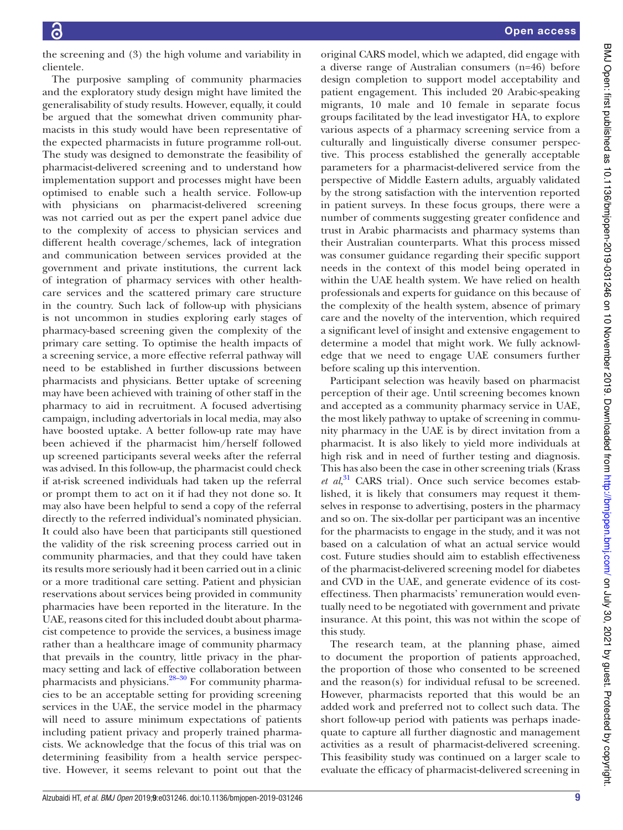the screening and (3) the high volume and variability in clientele.

The purposive sampling of community pharmacies and the exploratory study design might have limited the generalisability of study results. However, equally, it could be argued that the somewhat driven community pharmacists in this study would have been representative of the expected pharmacists in future programme roll-out. The study was designed to demonstrate the feasibility of pharmacist- delivered screening and to understand how implementation support and processes might have been optimised to enable such a health service. Follow- up with physicians on pharmacist-delivered screening was not carried out as per the expert panel advice due to the complexity of access to physician services and different health coverage/schemes, lack of integration and communication between services provided at the government and private institutions, the current lack of integration of pharmacy services with other healthcare services and the scattered primary care structure in the country. Such lack of follow-up with physicians is not uncommon in studies exploring early stages of pharmacy- based screening given the complexity of the primary care setting. To optimise the health impacts of a screening service, a more effective referral pathway will need to be established in further discussions between pharmacists and physicians. Better uptake of screening may have been achieved with training of other staff in the pharmacy to aid in recruitment. A focused advertising campaign, including advertorials in local media, may also have boosted uptake. A better follow-up rate may have been achieved if the pharmacist him/herself followed up screened participants several weeks after the referral was advised. In this follow-up, the pharmacist could check if at-risk screened individuals had taken up the referral or prompt them to act on it if had they not done so. It may also have been helpful to send a copy of the referral directly to the referred individual's nominated physician. It could also have been that participants still questioned the validity of the risk screening process carried out in community pharmacies, and that they could have taken its results more seriously had it been carried out in a clinic or a more traditional care setting. Patient and physician reservations about services being provided in community pharmacies have been reported in the literature. In the UAE, reasons cited for this included doubt about pharmacist competence to provide the services, a business image rather than a healthcare image of community pharmacy that prevails in the country, little privacy in the pharmacy setting and lack of effective collaboration between pharmacists and physicians.<sup>28–30</sup> For community pharmacies to be an acceptable setting for providing screening services in the UAE, the service model in the pharmacy will need to assure minimum expectations of patients including patient privacy and properly trained pharmacists. We acknowledge that the focus of this trial was on determining feasibility from a health service perspective. However, it seems relevant to point out that the

original CARS model, which we adapted, did engage with a diverse range of Australian consumers (n=46) before design completion to support model acceptability and patient engagement. This included 20 Arabic-speaking migrants, 10 male and 10 female in separate focus groups facilitated by the lead investigator HA, to explore various aspects of a pharmacy screening service from a culturally and linguistically diverse consumer perspective. This process established the generally acceptable parameters for a pharmacist-delivered service from the perspective of Middle Eastern adults, arguably validated by the strong satisfaction with the intervention reported in patient surveys. In these focus groups, there were a number of comments suggesting greater confidence and trust in Arabic pharmacists and pharmacy systems than their Australian counterparts. What this process missed was consumer guidance regarding their specific support needs in the context of this model being operated in within the UAE health system. We have relied on health professionals and experts for guidance on this because of the complexity of the health system, absence of primary care and the novelty of the intervention, which required a significant level of insight and extensive engagement to determine a model that might work. We fully acknowledge that we need to engage UAE consumers further before scaling up this intervention.

Participant selection was heavily based on pharmacist perception of their age. Until screening becomes known and accepted as a community pharmacy service in UAE, the most likely pathway to uptake of screening in community pharmacy in the UAE is by direct invitation from a pharmacist. It is also likely to yield more individuals at high risk and in need of further testing and diagnosis. This has also been the case in other screening trials (Krass *et al*, <sup>31</sup> CARS trial). Once such service becomes established, it is likely that consumers may request it themselves in response to advertising, posters in the pharmacy and so on. The six- dollar per participant was an incentive for the pharmacists to engage in the study, and it was not based on a calculation of what an actual service would cost. Future studies should aim to establish effectiveness of the pharmacist- delivered screening model for diabetes and CVD in the UAE, and generate evidence of its costeffectiness. Then pharmacists' remuneration would eventually need to be negotiated with government and private insurance. At this point, this was not within the scope of this study.

The research team, at the planning phase, aimed to document the proportion of patients approached, the proportion of those who consented to be screened and the reason(s) for individual refusal to be screened. However, pharmacists reported that this would be an added work and preferred not to collect such data. The short follow-up period with patients was perhaps inadequate to capture all further diagnostic and management activities as a result of pharmacist-delivered screening. This feasibility study was continued on a larger scale to evaluate the efficacy of pharmacist- delivered screening in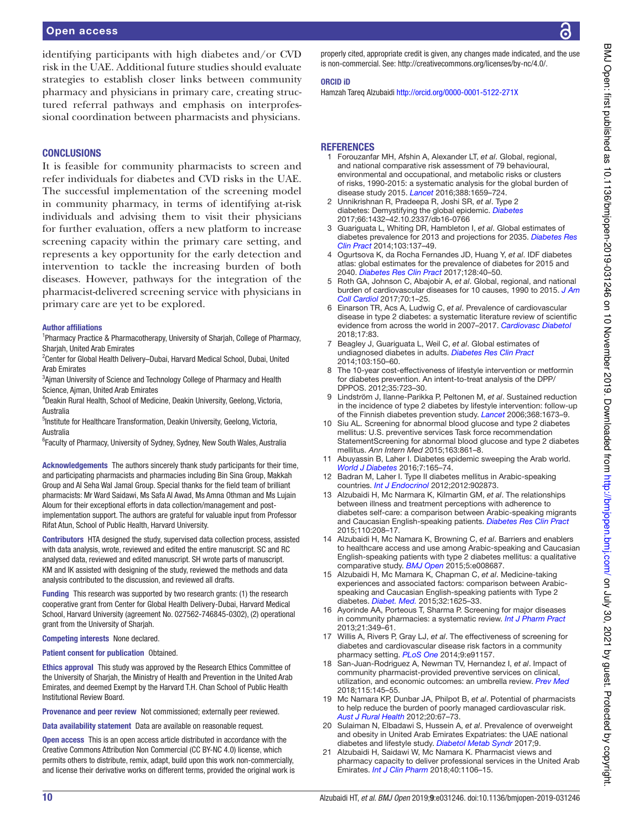#### **CONCLUSIONS**

It is feasible for community pharmacists to screen and refer individuals for diabetes and CVD risks in the UAE. The successful implementation of the screening model in community pharmacy, in terms of identifying at-risk individuals and advising them to visit their physicians for further evaluation, offers a new platform to increase screening capacity within the primary care setting, and represents a key opportunity for the early detection and intervention to tackle the increasing burden of both diseases. However, pathways for the integration of the pharmacist- delivered screening service with physicians in primary care are yet to be explored.

#### Author affiliations

<sup>1</sup>Pharmacy Practice & Pharmacotherapy, University of Sharjah, College of Pharmacy, Sharjah, United Arab Emirates

<sup>2</sup> Center for Global Health Delivery–Dubai, Harvard Medical School, Dubai, United Arab Emirates

<sup>3</sup>Ajman University of Science and Technology College of Pharmacy and Health Science, Ajman, United Arab Emirates

4 Deakin Rural Health, School of Medicine, Deakin University, Geelong, Victoria, Australia

<sup>5</sup>Institute for Healthcare Transformation, Deakin University, Geelong, Victoria, Australia

<sup>6</sup>Faculty of Pharmacy, University of Sydney, Sydney, New South Wales, Australia

Acknowledgements The authors sincerely thank study participants for their time, and participating pharmacists and pharmacies including Bin Sina Group, Makkah Group and Al Seha Wal Jamal Group. Special thanks for the field team of brilliant pharmacists: Mr Ward Saidawi, Ms Safa Al Awad, Ms Amna Othman and Ms Lujain Aloum for their exceptional efforts in data collection/management and postimplementation support. The authors are grateful for valuable input from Professor Rifat Atun, School of Public Health, Harvard University.

Contributors HTA designed the study, supervised data collection process, assisted with data analysis, wrote, reviewed and edited the entire manuscript. SC and RC analysed data, reviewed and edited manuscript. SH wrote parts of manuscript. KM and IK assisted with designing of the study, reviewed the methods and data analysis contributed to the discussion, and reviewed all drafts.

Funding This research was supported by two research grants: (1) the research cooperative grant from Center for Global Health Delivery- Dubai, Harvard Medical School, Harvard University (agreement No. 027562-746845-0302), (2) operational grant from the University of Sharjah.

Competing interests None declared.

#### Patient consent for publication Obtained.

Ethics approval This study was approved by the Research Ethics Committee of the University of Sharjah, the Ministry of Health and Prevention in the United Arab Emirates, and deemed Exempt by the Harvard T.H. Chan School of Public Health Institutional Review Board.

Provenance and peer review Not commissioned; externally peer reviewed.

Data availability statement Data are available on reasonable request.

Open access This is an open access article distributed in accordance with the Creative Commons Attribution Non Commercial (CC BY- NC 4.0) license, which permits others to distribute, remix, adapt, build upon this work non-commercially, and license their derivative works on different terms, provided the original work is properly cited, appropriate credit is given, any changes made indicated, and the use is non-commercial. See: http://creativecommons.org/licenses/by-nc/4.0/.

#### OrCID iD

Hamzah Tareg Alzubaidi http://orcid.org/0000-0001-5122-271X

#### **REFERENCES**

- 1 Forouzanfar MH, Afshin A, Alexander LT, et al. Global, regional, and national comparative risk assessment of 79 behavioural, environmental and occupational, and metabolic risks or clusters of risks, 1990-2015: a systematic analysis for the global burden of disease study 2015. Lancet 2016;388:1659–724.
- 2 Unnikrishnan R, Pradeepa R, Joshi SR, et al. Type 2 diabetes: Demystifying the global epidemic. Diabetes 2017;66:1432–42.10.2337/db16-0766
- 3 Guariguata L, Whiting DR, Hambleton I, et al. Global estimates of diabetes prevalence for 2013 and projections for 2035. Diabetes Res Clin Pract 2014;103:137–49.
- Ogurtsova K, da Rocha Fernandes JD, Huang Y, et al. IDF diabetes atlas: global estimates for the prevalence of diabetes for 2015 and 2040. Diabetes Res Clin Pract 2017;128:40–50.
- 5 Roth GA, Johnson C, Abajobir A, et al. Global, regional, and national burden of cardiovascular diseases for 10 causes, 1990 to 2015. J Am Coll Cardiol 2017;70:1–25.
- 6 Einarson TR, Acs A, Ludwig C, et al. Prevalence of cardiovascular disease in type 2 diabetes: a systematic literature review of scientific evidence from across the world in 2007-2017. Cardiovasc Diabetol 2018;17:83.
- 7 Beagley J, Guariguata L, Weil C, et al. Global estimates of undiagnosed diabetes in adults. Diabetes Res Clin Pract 2014;103:150–60.
- The 10-year cost-effectiveness of lifestyle intervention or metformin for diabetes prevention. An intent-to-treat analysis of the DPP/ DPPOS. 2012;35:723–30.
- 9 Lindström J, Ilanne-Parikka P, Peltonen M, et al. Sustained reduction in the incidence of type 2 diabetes by lifestyle intervention: follow-up of the Finnish diabetes prevention study. Lancet 2006;368:1673–9.
- 10 Siu AL. Screening for abnormal blood glucose and type 2 diabetes mellitus: U.S. preventive services Task force recommendation StatementScreening for abnormal blood glucose and type 2 diabetes mellitus. Ann Intern Med 2015;163:861–8.
- 11 Abuyassin B, Laher I. Diabetes epidemic sweeping the Arab world. World J Diabetes 2016;7:165–74.
- 12 Badran M, Laher I. Type II diabetes mellitus in Arabic-speaking countries. Int J Endocrinol 2012;2012:902873.
- 13 Alzubaidi H, Mc Narmara K, Kilmartin GM, et al. The relationships between illness and treatment perceptions with adherence to diabetes self-care: a comparison between Arabic-speaking migrants and Caucasian English-speaking patients. Diabetes Res Clin Pract 2015;110:208–17.
- 14 Alzubaidi H, Mc Namara K, Browning C, et al. Barriers and enablers to healthcare access and use among Arabic- speaking and Caucasian English- speaking patients with type 2 diabetes mellitus: a qualitative comparative study. **BMJ Open** 2015;5:e008687.
- 15 Alzubaidi H, Mc Mamara K, Chapman C, et al. Medicine-taking experiences and associated factors: comparison between Arabicspeaking and Caucasian English-speaking patients with Type 2 diabetes. Diabet. Med. 2015;32:1625–33.
- 16 Ayorinde AA, Porteous T, Sharma P. Screening for major diseases in community pharmacies: a systematic review. Int J Pharm Pract 2013;21:349–61.
- 17 Willis A, Rivers P, Gray LJ, et al. The effectiveness of screening for diabetes and cardiovascular disease risk factors in a community pharmacy setting. PLoS One 2014;9:e91157.
- 18 San-Juan-Rodriguez A, Newman TV, Hernandez I, et al. Impact of community pharmacist-provided preventive services on clinical, utilization, and economic outcomes: an umbrella review. Prev Med 2018;115:145–55.
- 19 Mc Namara KP, Dunbar JA, Philpot B, et al. Potential of pharmacists to help reduce the burden of poorly managed cardiovascular risk. Aust J Rural Health 2012;20:67–73.
- 20 Sulaiman N, Elbadawi S, Hussein A, et al. Prevalence of overweight and obesity in United Arab Emirates Expatriates: the UAE national diabetes and lifestyle study. Diabetol Metab Syndr 2017;9.
- 21 Alzubaidi H, Saidawi W, Mc Namara K. Pharmacist views and pharmacy capacity to deliver professional services in the United Arab Emirates. Int J Clin Pharm 2018;40:1106-15.